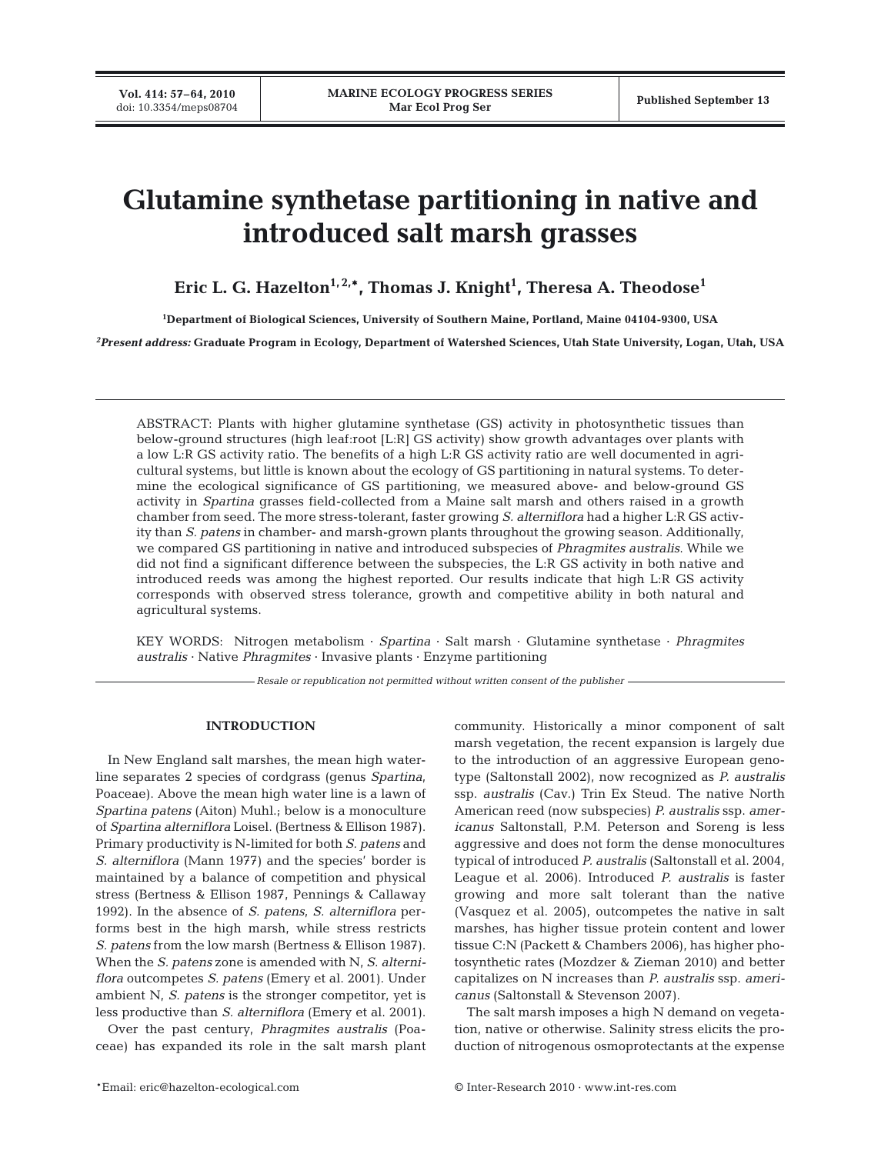# **Glutamine synthetase partitioning in native and introduced salt marsh grasses**

Eric L. G. Hazelton<sup>1,2,</sup>\*, Thomas J. Knight<sup>1</sup>, Theresa A. Theodose<sup>1</sup>

**1 Department of Biological Sciences, University of Southern Maine, Portland, Maine 04104-9300, USA**

*2 Present address:* **Graduate Program in Ecology, Department of Watershed Sciences, Utah State University, Logan, Utah, USA**

ABSTRACT: Plants with higher glutamine synthetase (GS) activity in photosynthetic tissues than below-ground structures (high leaf:root [L:R] GS activity) show growth advantages over plants with a low L:R GS activity ratio. The benefits of a high L:R GS activity ratio are well documented in agricultural systems, but little is known about the ecology of GS partitioning in natural systems. To determine the ecological significance of GS partitioning, we measured above- and below-ground GS activity in *Spartina* grasses field-collected from a Maine salt marsh and others raised in a growth chamber from seed. The more stress-tolerant, faster growing *S. alterniflora* had a higher L:R GS activity than *S. patens* in chamber- and marsh-grown plants throughout the growing season. Additionally, we compared GS partitioning in native and introduced subspecies of *Phragmites australis*. While we did not find a significant difference between the subspecies, the L:R GS activity in both native and introduced reeds was among the highest reported. Our results indicate that high L:R GS activity corresponds with observed stress tolerance, growth and competitive ability in both natural and agricultural systems.

KEY WORDS: Nitrogen metabolism · *Spartina* · Salt marsh · Glutamine synthetase · *Phragmites australis* · Native *Phragmites* · Invasive plants · Enzyme partitioning

*Resale or republication not permitted without written consent of the publisher*

# **INTRODUCTION**

In New England salt marshes, the mean high waterline separates 2 species of cordgrass (genus *Spartina*, Poaceae). Above the mean high water line is a lawn of *Spartina patens* (Aiton) Muhl.; below is a monoculture of *Spartina alterniflora* Loisel. (Bertness & Ellison 1987). Primary productivity is N-limited for both *S. patens* and *S. alterniflora* (Mann 1977) and the species' border is maintained by a balance of competition and physical stress (Bertness & Ellison 1987, Pennings & Callaway 1992). In the absence of *S. patens*, *S. alterniflora* performs best in the high marsh, while stress restricts *S. patens* from the low marsh (Bertness & Ellison 1987). When the *S. patens* zone is amended with N, *S. alterniflora* outcompetes *S. patens* (Emery et al. 2001). Under ambient N, *S. patens* is the stronger competitor, yet is less productive than *S. alterniflora* (Emery et al. 2001).

Over the past century, *Phragmites australis* (Poaceae) has expanded its role in the salt marsh plant community. Historically a minor component of salt marsh vegetation, the recent expansion is largely due to the introduction of an aggressive European genotype (Saltonstall 2002), now recognized as *P. australis* ssp. *australis* (Cav.) Trin Ex Steud. The native North American reed (now subspecies) *P. australis* ssp. *americanus* Saltonstall, P.M. Peterson and Soreng is less aggressive and does not form the dense monocultures typical of introduced *P. australis* (Saltonstall et al. 2004, League et al. 2006). Introduced *P. australis* is faster growing and more salt tolerant than the native (Vasquez et al. 2005), outcompetes the native in salt marshes, has higher tissue protein content and lower tissue C:N (Packett & Chambers 2006), has higher photosynthetic rates (Mozdzer & Zieman 2010) and better capitalizes on N increases than *P. australis* ssp. *americanus* (Saltonstall & Stevenson 2007).

The salt marsh imposes a high N demand on vegetation, native or otherwise. Salinity stress elicits the production of nitrogenous osmoprotectants at the expense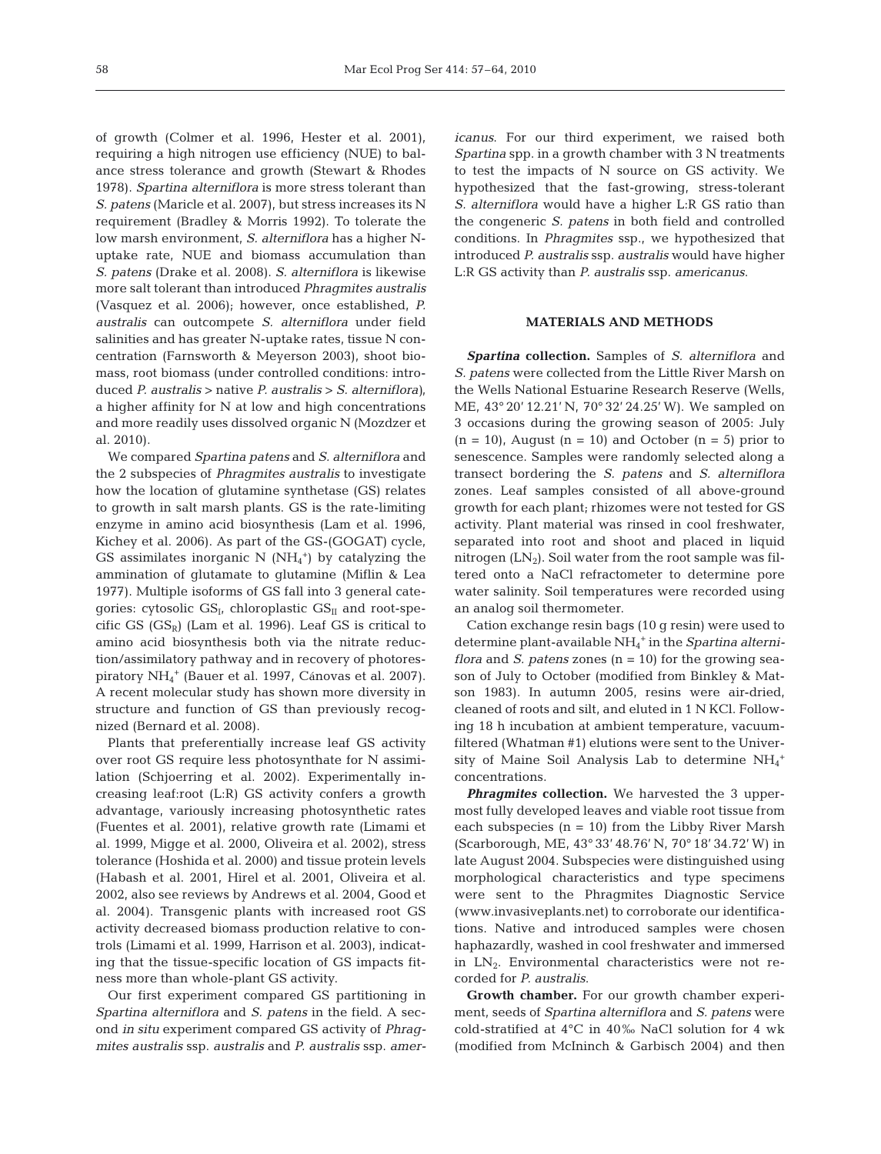of growth (Colmer et al. 1996, Hester et al. 2001), requiring a high nitrogen use efficiency (NUE) to balance stress tolerance and growth (Stewart & Rhodes 1978). *Spartina alterniflora* is more stress tolerant than *S. patens* (Maricle et al. 2007), but stress increases its N requirement (Bradley & Morris 1992). To tolerate the low marsh environment, *S. alterniflora* has a higher Nuptake rate, NUE and biomass accumulation than *S. patens* (Drake et al. 2008). *S. alterniflora* is likewise more salt tolerant than introduced *Phragmites australis* (Vasquez et al. 2006); however, once established, *P. australis* can outcompete *S. alterniflora* under field salinities and has greater N-uptake rates, tissue N concentration (Farnsworth & Meyerson 2003), shoot biomass, root biomass (under controlled conditions: introduced *P. australis* > native *P. australis* > *S. alterniflora)*, a higher affinity for N at low and high concentrations and more readily uses dissolved organic N (Mozdzer et al. 2010).

We compared *Spartina patens* and *S. alterniflora* and the 2 subspecies of *Phragmites australis* to investigate how the location of glutamine synthetase (GS) relates to growth in salt marsh plants. GS is the rate-limiting enzyme in amino acid biosynthesis (Lam et al. 1996, Kichey et al. 2006). As part of the GS-(GOGAT) cycle, GS assimilates inorganic N  $(NH_4^+)$  by catalyzing the ammination of glutamate to glutamine (Miflin & Lea 1977). Multiple isoforms of GS fall into 3 general categories: cytosolic  $GS_I$ , chloroplastic  $GS_{II}$  and root-specific GS  $(GS_R)$  (Lam et al. 1996). Leaf GS is critical to amino acid biosynthesis both via the nitrate reduction/assimilatory pathway and in recovery of photorespiratory NH4 <sup>+</sup> (Bauer et al. 1997, Cánovas et al. 2007). A recent molecular study has shown more diversity in structure and function of GS than previously recognized (Bernard et al. 2008).

Plants that preferentially increase leaf GS activity over root GS require less photosynthate for N assimilation (Schjoerring et al. 2002). Experimentally increasing leaf:root (L:R) GS activity confers a growth advantage, variously increasing photosynthetic rates (Fuentes et al. 2001), relative growth rate (Limami et al. 1999, Migge et al. 2000, Oliveira et al. 2002), stress tolerance (Hoshida et al. 2000) and tissue protein levels (Habash et al. 2001, Hirel et al. 2001, Oliveira et al. 2002, also see reviews by Andrews et al. 2004, Good et al. 2004). Transgenic plants with increased root GS activity decreased biomass production relative to controls (Limami et al. 1999, Harrison et al. 2003), indicating that the tissue-specific location of GS impacts fitness more than whole-plant GS activity.

Our first experiment compared GS partitioning in *Spartina alterniflora* and *S. patens* in the field. A second *in situ* experiment compared GS activity of *Phragmites australis* ssp. *australis* and *P. australis* ssp. *amer-* *icanus*. For our third experiment, we raised both *Spartina* spp. in a growth chamber with 3 N treatments to test the impacts of N source on GS activity. We hypothesized that the fast-growing, stress-tolerant *S. alterniflora* would have a higher L:R GS ratio than the congeneric *S. patens* in both field and controlled conditions. In *Phragmites* ssp., we hypothesized that introduced *P. australis* ssp. *australis* would have higher L:R GS activity than *P. australis* ssp. *americanus*.

### **MATERIALS AND METHODS**

*Spartina* **collection.** Samples of *S. alterniflora* and *S. patens* were collected from the Little River Marsh on the Wells National Estuarine Research Reserve (Wells, ME, 43° 20' 12.21' N, 70° 32' 24.25' W). We sampled on 3 occasions during the growing season of 2005: July  $(n = 10)$ , August  $(n = 10)$  and October  $(n = 5)$  prior to senescence. Samples were randomly selected along a transect bordering the *S. patens* and *S. alterniflora* zones. Leaf samples consisted of all above-ground growth for each plant; rhizomes were not tested for GS activity. Plant material was rinsed in cool freshwater, separated into root and shoot and placed in liquid nitrogen  $(LN_2)$ . Soil water from the root sample was filtered onto a NaCl refractometer to determine pore water salinity. Soil temperatures were recorded using an analog soil thermometer.

Cation exchange resin bags (10 g resin) were used to determine plant-available NH4 <sup>+</sup> in the *Spartina alterniflora* and *S. patens* zones (n = 10) for the growing season of July to October (modified from Binkley & Matson 1983). In autumn 2005, resins were air-dried, cleaned of roots and silt, and eluted in 1 N KCl. Following 18 h incubation at ambient temperature, vacuumfiltered (Whatman #1) elutions were sent to the University of Maine Soil Analysis Lab to determine  $NH_4^+$ concentrations.

*Phragmites* **collection.** We harvested the 3 uppermost fully developed leaves and viable root tissue from each subspecies  $(n = 10)$  from the Libby River Marsh (Scarborough, ME, 43° 33' 48.76' N, 70° 18' 34.72' W) in late August 2004. Subspecies were distinguished using morphological characteristics and type specimens were sent to the Phragmites Diagnostic Service (www.invasiveplants.net) to corroborate our identifications. Native and introduced samples were chosen haphazardly, washed in cool freshwater and immersed in  $LN_2$ . Environmental characteristics were not recorded for *P. australis*.

**Growth chamber.** For our growth chamber experiment, seeds of *Spartina alterniflora* and *S. patens* were cold-stratified at 4°C in 40‰ NaCl solution for 4 wk (modified from McIninch & Garbisch 2004) and then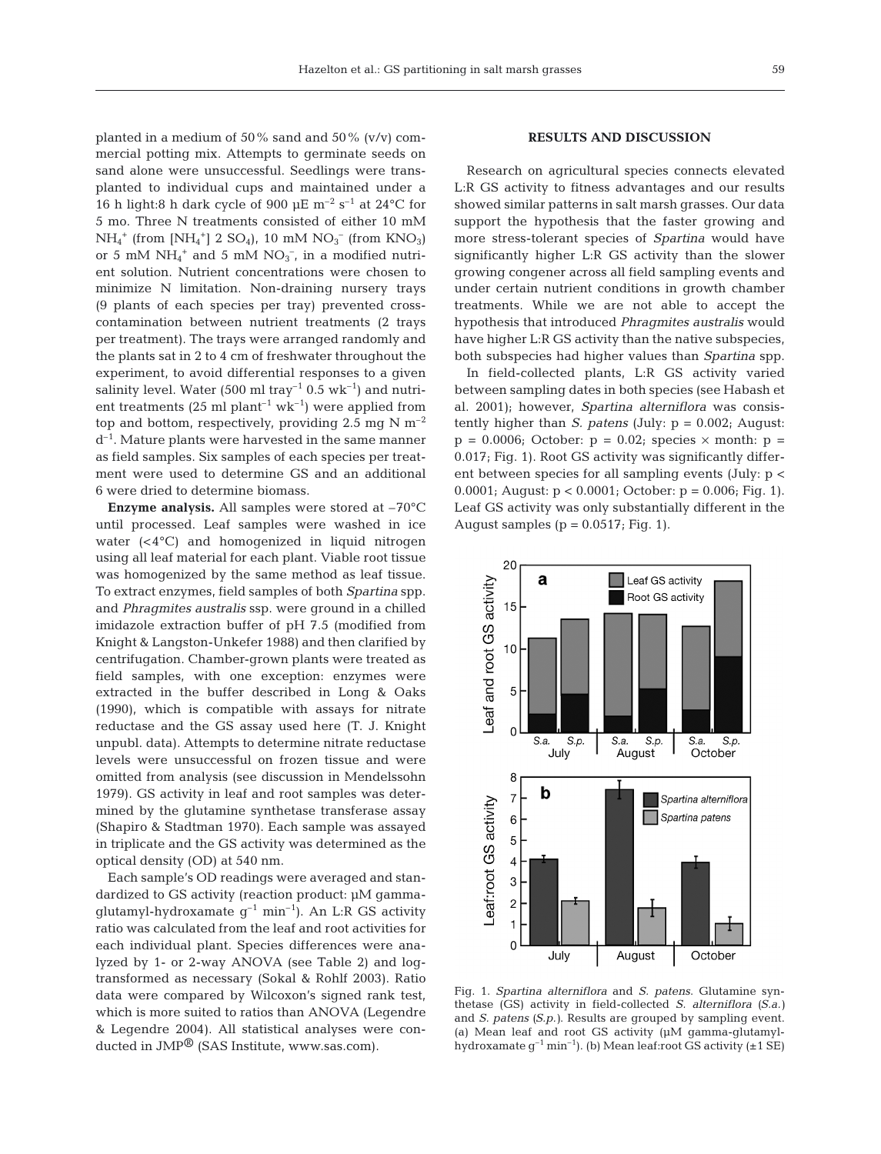planted in a medium of 50% sand and 50% (v/v) commercial potting mix. Attempts to germinate seeds on sand alone were unsuccessful. Seedlings were transplanted to individual cups and maintained under a 16 h light:8 h dark cycle of 900  $\mu$ E m<sup>-2</sup> s<sup>-1</sup> at 24 °C for 5 mo. Three N treatments consisted of either 10 mM  $NH_4^+$  (from [NH<sub>4</sub><sup>+</sup>] 2 SO<sub>4</sub>), 10 mM NO<sub>3</sub><sup>-</sup> (from KNO<sub>3</sub>) or 5 mM  $NH_4^+$  and 5 mM  $NO_3^-$ , in a modified nutrient solution. Nutrient concentrations were chosen to minimize N limitation. Non-draining nursery trays (9 plants of each species per tray) prevented crosscontamination between nutrient treatments (2 trays per treatment). The trays were arranged randomly and the plants sat in 2 to 4 cm of freshwater throughout the experiment, to avoid differential responses to a given salinity level. Water (500 ml tray<sup>-1</sup> 0.5 wk<sup>-1</sup>) and nutrient treatments (25 ml plant<sup>-1</sup> wk<sup>-1</sup>) were applied from top and bottom, respectively, providing 2.5 mg N  $m^{-2}$  $d^{-1}$ . Mature plants were harvested in the same manner as field samples. Six samples of each species per treatment were used to determine GS and an additional 6 were dried to determine biomass.

**Enzyme analysis.** All samples were stored at –70°C until processed. Leaf samples were washed in ice water (<4°C) and homogenized in liquid nitrogen using all leaf material for each plant. Viable root tissue was homogenized by the same method as leaf tissue. To extract enzymes, field samples of both *Spartina* spp. and *Phragmites australis* ssp. were ground in a chilled imidazole extraction buffer of pH 7.5 (modified from Knight & Langston-Unkefer 1988) and then clarified by centrifugation. Chamber-grown plants were treated as field samples, with one exception: enzymes were extracted in the buffer described in Long & Oaks (1990), which is compatible with assays for nitrate reductase and the GS assay used here (T. J. Knight unpubl. data). Attempts to determine nitrate reductase levels were unsuccessful on frozen tissue and were omitted from analysis (see discussion in Mendelssohn 1979). GS activity in leaf and root samples was determined by the glutamine synthetase transferase assay (Shapiro & Stadtman 1970). Each sample was assayed in triplicate and the GS activity was determined as the optical density (OD) at 540 nm.

Each sample's OD readings were averaged and standardized to GS activity (reaction product: µM gammaglutamyl-hydroxamate  $g^{-1}$  min<sup>-1</sup>). An L:R GS activity ratio was calculated from the leaf and root activities for each individual plant. Species differences were analyzed by 1- or 2-way ANOVA (see Table 2) and logtransformed as necessary (Sokal & Rohlf 2003). Ratio data were compared by Wilcoxon's signed rank test, which is more suited to ratios than ANOVA (Legendre & Legendre 2004). All statistical analyses were conducted in JMP® (SAS Institute, www.sas.com).

# **RESULTS AND DISCUSSION**

Research on agricultural species connects elevated L:R GS activity to fitness advantages and our results showed similar patterns in salt marsh grasses. Our data support the hypothesis that the faster growing and more stress-tolerant species of *Spartina* would have significantly higher L:R GS activity than the slower growing congener across all field sampling events and under certain nutrient conditions in growth chamber treatments. While we are not able to accept the hypothesis that introduced *Phragmites australis* would have higher L:R GS activity than the native subspecies, both subspecies had higher values than *Spartina* spp.

In field-collected plants, L:R GS activity varied between sampling dates in both species (see Habash et al. 2001); however, *Spartina alterniflora* was consistently higher than *S. patens* (July: p = 0.002; August:  $p = 0.0006$ ; October:  $p = 0.02$ ; species  $\times$  month:  $p =$ 0.017; Fig. 1). Root GS activity was significantly different between species for all sampling events (July: p < 0.0001; August: p < 0.0001; October: p = 0.006; Fig. 1). Leaf GS activity was only substantially different in the August samples ( $p = 0.0517$ ; Fig. 1).



Fig. 1. *Spartina alterniflora* and *S. patens*. Glutamine synthetase (GS) activity in field-collected *S. alterniflora (S.a.)* and *S. patens (S.p.)*. Results are grouped by sampling event. (a) Mean leaf and root GS activity (µM gamma-glutamylhydroxamate  $g^{-1}$  min<sup>-1</sup>). (b) Mean leaf:root GS activity ( $\pm$ 1 SE)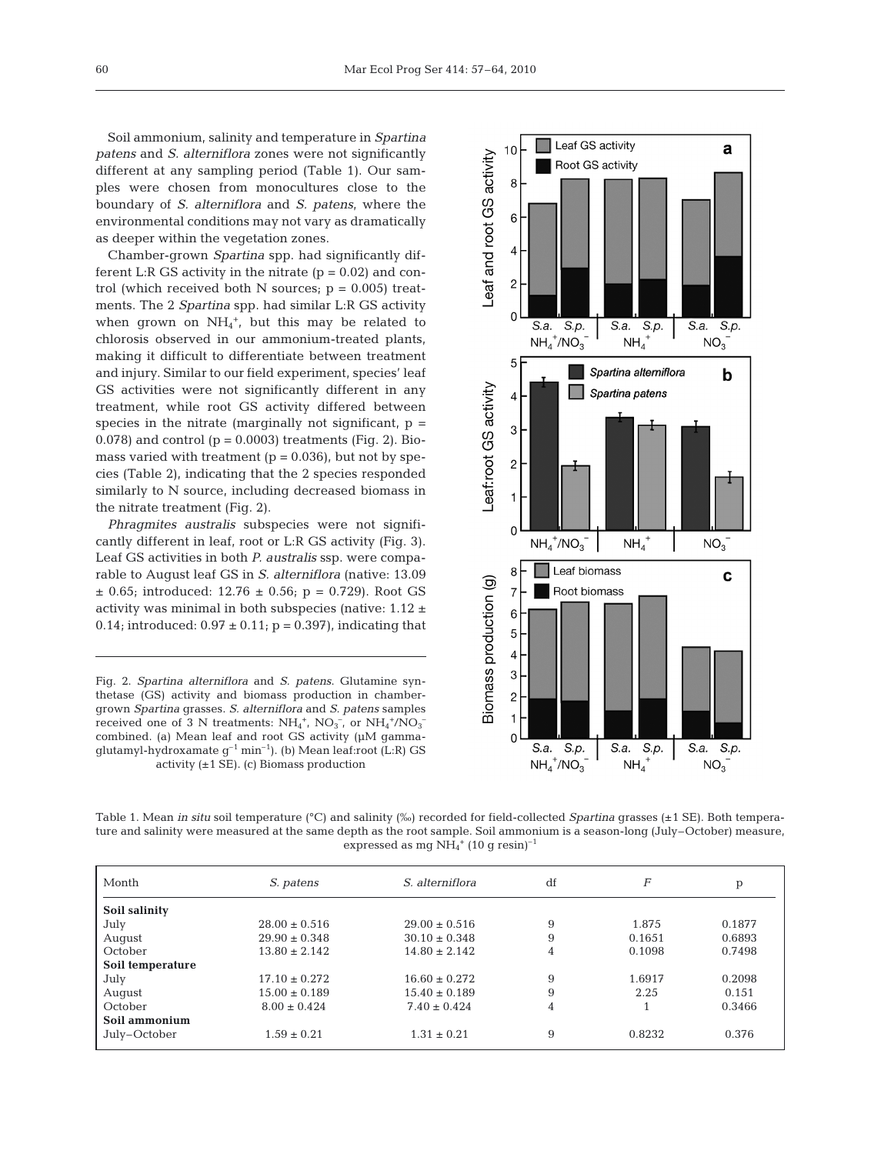Soil ammonium, salinity and temperature in *Spartina patens* and *S. alterniflora* zones were not significantly different at any sampling period (Table 1). Our samples were chosen from monocultures close to the boundary of *S. alterniflora* and *S. patens*, where the environmental conditions may not vary as dramatically as deeper within the vegetation zones.

Chamber-grown *Spartina* spp. had significantly different L:R GS activity in the nitrate  $(p = 0.02)$  and control (which received both N sources;  $p = 0.005$ ) treatments. The 2 *Spartina* spp. had similar L:R GS activity when grown on  $NH_4^+$ , but this may be related to chlorosis observed in our ammonium-treated plants, making it difficult to differentiate between treatment and injury. Similar to our field experiment, species' leaf GS activities were not significantly different in any treatment, while root GS activity differed between species in the nitrate (marginally not significant,  $p =$ 0.078) and control ( $p = 0.0003$ ) treatments (Fig. 2). Biomass varied with treatment  $(p = 0.036)$ , but not by species (Table 2), indicating that the 2 species responded similarly to N source, including decreased biomass in the nitrate treatment (Fig. 2).

*Phragmites australis* subspecies were not significantly different in leaf, root or L:R GS activity (Fig. 3). Leaf GS activities in both *P. australis* ssp. were comparable to August leaf GS in *S. alterniflora* (native: 13.09  $\pm$  0.65; introduced: 12.76  $\pm$  0.56; p = 0.729). Root GS activity was minimal in both subspecies (native: 1.12 ± 0.14; introduced:  $0.97 \pm 0.11$ ; p = 0.397), indicating that

Fig. 2. *Spartina alterniflora* and *S. patens*. Glutamine synthetase (GS) activity and biomass production in chambergrown *Spartina* grasses. *S. alterniflora* and *S. patens* samples received one of 3 N treatments:  $NH_4^+$ ,  $NO_3^-$ , or  $NH_4^+ / NO_3^$ combined. (a) Mean leaf and root GS activity (µM gammaglutamyl-hydroxamate g–1 min–1). (b) Mean leaf:root (L:R) GS activity  $(\pm 1 \text{ SE})$ . (c) Biomass production



Table 1. Mean *in situ* soil temperature (°C) and salinity (‰) recorded for field-collected *Spartina* grasses (±1 SE). Both temperature and salinity were measured at the same depth as the root sample. Soil ammonium is a season-long (July–October) measure, expressed as mg  $NH_4^+$  (10 g resin)<sup>-1</sup>

| Month            | S. patens         | S. alterniflora   | df | F      | p      |
|------------------|-------------------|-------------------|----|--------|--------|
| Soil salinity    |                   |                   |    |        |        |
| July             | $28.00 \pm 0.516$ | $29.00 \pm 0.516$ | 9  | 1.875  | 0.1877 |
| August           | $29.90 \pm 0.348$ | $30.10 \pm 0.348$ | 9  | 0.1651 | 0.6893 |
| October          | $13.80 \pm 2.142$ | $14.80 \pm 2.142$ | 4  | 0.1098 | 0.7498 |
| Soil temperature |                   |                   |    |        |        |
| July             | $17.10 \pm 0.272$ | $16.60 \pm 0.272$ | 9  | 1.6917 | 0.2098 |
| August           | $15.00 \pm 0.189$ | $15.40 \pm 0.189$ | 9  | 2.25   | 0.151  |
| October          | $8.00 \pm 0.424$  | $7.40 \pm 0.424$  | 4  |        | 0.3466 |
| Soil ammonium    |                   |                   |    |        |        |
| July-October     | $1.59 \pm 0.21$   | $1.31 \pm 0.21$   | 9  | 0.8232 | 0.376  |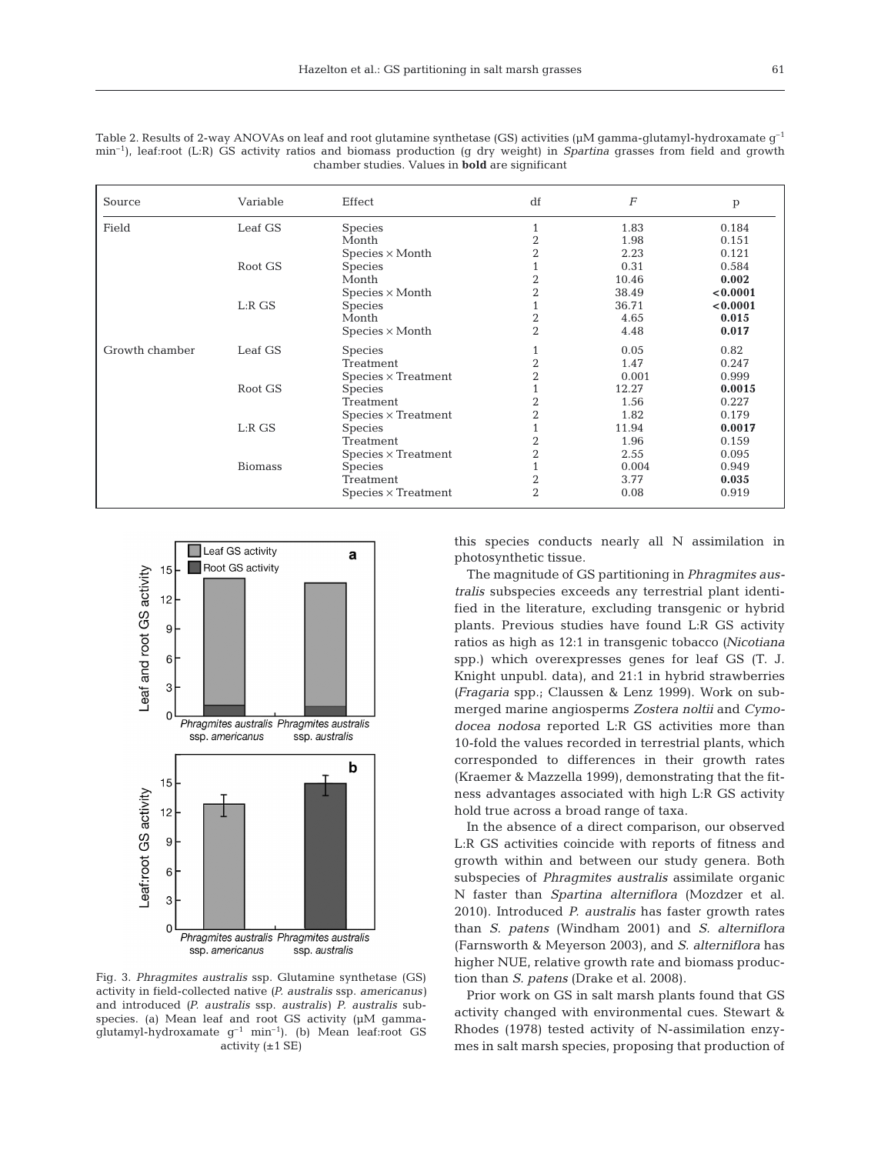| Source         | Variable       | Effect                     | df             | F     | p        |
|----------------|----------------|----------------------------|----------------|-------|----------|
| Field          | Leaf GS        | <b>Species</b>             |                | 1.83  | 0.184    |
|                |                | Month                      | $\overline{2}$ | 1.98  | 0.151    |
|                |                | $Species \times Month$     | $\overline{2}$ | 2.23  | 0.121    |
|                | Root GS        | <b>Species</b>             |                | 0.31  | 0.584    |
|                |                | Month                      | $\overline{2}$ | 10.46 | 0.002    |
|                |                | $Species \times Month$     | $\overline{2}$ | 38.49 | < 0.0001 |
|                | L:RGS          | <b>Species</b>             |                | 36.71 | < 0.0001 |
|                |                | Month                      | $\overline{2}$ | 4.65  | 0.015    |
|                |                | $Species \times Month$     | $\overline{2}$ | 4.48  | 0.017    |
| Growth chamber | Leaf GS        | <b>Species</b>             |                | 0.05  | 0.82     |
|                |                | Treatment                  | $\overline{2}$ | 1.47  | 0.247    |
|                |                | $Species \times Treatment$ | $\overline{2}$ | 0.001 | 0.999    |
|                | Root GS        | <b>Species</b>             |                | 12.27 | 0.0015   |
|                |                | Treatment                  | $\overline{2}$ | 1.56  | 0.227    |
|                |                | $Species \times Treatment$ | $\overline{2}$ | 1.82  | 0.179    |
|                | L:RGS          | <b>Species</b>             |                | 11.94 | 0.0017   |
|                |                | Treatment                  | $\overline{2}$ | 1.96  | 0.159    |
|                |                | $Species \times Treatment$ | $\overline{2}$ | 2.55  | 0.095    |
|                | <b>Biomass</b> | <b>Species</b>             |                | 0.004 | 0.949    |
|                |                | Treatment                  | $\overline{2}$ | 3.77  | 0.035    |
|                |                | $Species \times Treatment$ | $\overline{2}$ | 0.08  | 0.919    |

Table 2. Results of 2-way ANOVAs on leaf and root glutamine synthetase (GS) activities ( $\mu$ M gamma-glutamyl-hydroxamate g<sup>-1</sup> min–1), leaf:root (L:R) GS activity ratios and biomass production (g dry weight) in *Spartina* grasses from field and growth chamber studies. Values in **bold** are significant



Fig. 3. *Phragmites australis* ssp. Glutamine synthetase (GS) activity in field-collected native *(P. australis* ssp. *americanus)* and introduced *(P. australis* ssp. *australis) P. australis* subspecies. (a) Mean leaf and root GS activity ( $\mu$ M gammaglutamyl-hydroxamate  $g^{-1}$  min<sup>-1</sup>). (b) Mean leaf:root GS activity  $(\pm 1 \text{ SE})$ 

this species conducts nearly all N assimilation in photosynthetic tissue.

The magnitude of GS partitioning in *Phragmites australis* subspecies exceeds any terrestrial plant identified in the literature, excluding transgenic or hybrid plants. Previous studies have found L:R GS activity ratios as high as 12:1 in transgenic tobacco *(Nicotiana* spp.) which overexpresses genes for leaf GS (T. J. Knight unpubl. data), and 21:1 in hybrid strawberries *(Fragaria* spp.; Claussen & Lenz 1999). Work on submerged marine angiosperms *Zostera noltii* and *Cymodocea nodosa* reported L:R GS activities more than 10-fold the values recorded in terrestrial plants, which corresponded to differences in their growth rates (Kraemer & Mazzella 1999), demonstrating that the fitness advantages associated with high L:R GS activity hold true across a broad range of taxa.

In the absence of a direct comparison, our observed L:R GS activities coincide with reports of fitness and growth within and between our study genera. Both subspecies of *Phragmites australis* assimilate organic N faster than *Spartina alterniflora* (Mozdzer et al. 2010). Introduced *P. australis* has faster growth rates than *S. patens* (Windham 2001) and *S. alterniflora* (Farnsworth & Meyerson 2003), and *S. alterniflora* has higher NUE, relative growth rate and biomass production than *S. patens* (Drake et al. 2008).

Prior work on GS in salt marsh plants found that GS activity changed with environmental cues. Stewart & Rhodes (1978) tested activity of N-assimilation enzymes in salt marsh species, proposing that production of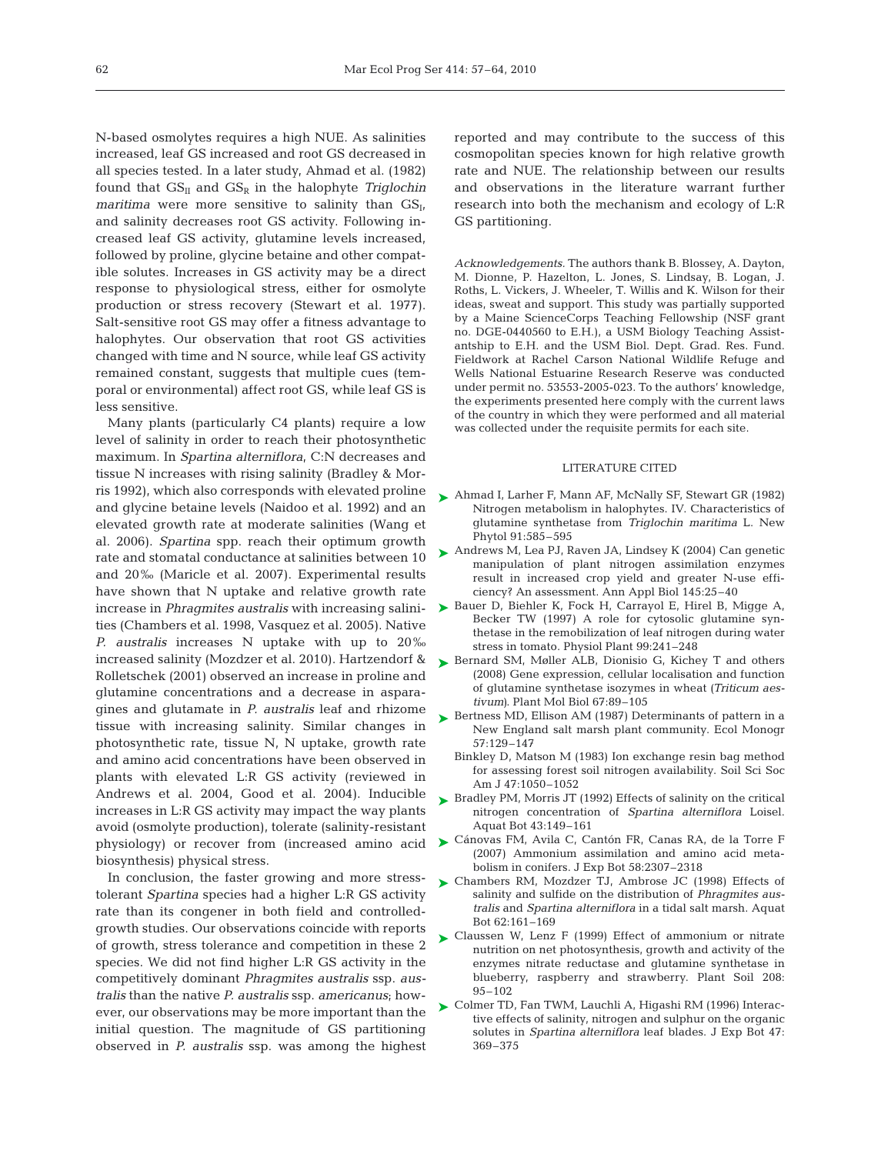N-based osmolytes requires a high NUE. As salinities increased, leaf GS increased and root GS decreased in all species tested. In a later study, Ahmad et al. (1982) found that  $GS_{II}$  and  $GS_{R}$  in the halophyte *Triglochin maritima* were more sensitive to salinity than  $GS_{I}$ , and salinity decreases root GS activity. Following increased leaf GS activity, glutamine levels increased, followed by proline, glycine betaine and other compatible solutes. Increases in GS activity may be a direct response to physiological stress, either for osmolyte production or stress recovery (Stewart et al. 1977). Salt-sensitive root GS may offer a fitness advantage to halophytes. Our observation that root GS activities changed with time and N source, while leaf GS activity remained constant, suggests that multiple cues (temporal or environmental) affect root GS, while leaf GS is less sensitive.

Many plants (particularly C4 plants) require a low level of salinity in order to reach their photosynthetic maximum. In *Spartina alterniflora*, C:N decreases and tissue N increases with rising salinity (Bradley & Morris 1992), which also corresponds with elevated proline and glycine betaine levels (Naidoo et al. 1992) and an elevated growth rate at moderate salinities (Wang et al. 2006). *Spartina* spp. reach their optimum growth rate and stomatal conductance at salinities between 10 and 20‰ (Maricle et al. 2007). Experimental results have shown that N uptake and relative growth rate increase in *Phragmites australis* with increasing salinities (Chambers et al. 1998, Vasquez et al. 2005). Native *P. australis* increases N uptake with up to 20‰ increased salinity (Mozdzer et al. 2010). Hartzendorf & Rolletschek (2001) observed an increase in proline and glutamine concentrations and a decrease in asparagines and glutamate in *P. australis* leaf and rhizome tissue with increasing salinity. Similar changes in photosynthetic rate, tissue N, N uptake, growth rate and amino acid concentrations have been observed in plants with elevated L:R GS activity (reviewed in Andrews et al. 2004, Good et al. 2004). Inducible increases in L:R GS activity may impact the way plants avoid (osmolyte production), tolerate (salinity-resistant physiology) or recover from (increased amino acid biosynthesis) physical stress.

In conclusion, the faster growing and more stresstolerant *Spartina* species had a higher L:R GS activity rate than its congener in both field and controlledgrowth studies. Our observations coincide with reports of growth, stress tolerance and competition in these 2 species. We did not find higher L:R GS activity in the competitively dominant *Phragmites australis* ssp. *australis* than the native *P. australis* ssp. *americanus*; however, our observations may be more important than the initial question. The magnitude of GS partitioning observed in *P. australis* ssp. was among the highest reported and may contribute to the success of this cosmopolitan species known for high relative growth rate and NUE. The relationship between our results and observations in the literature warrant further research into both the mechanism and ecology of L:R GS partitioning.

*Acknowledgements.* The authors thank B. Blossey, A. Dayton, M. Dionne, P. Hazelton, L. Jones, S. Lindsay, B. Logan, J. Roths, L. Vickers, J. Wheeler, T. Willis and K. Wilson for their ideas, sweat and support. This study was partially supported by a Maine ScienceCorps Teaching Fellowship (NSF grant no. DGE-0440560 to E.H.), a USM Biology Teaching Assistantship to E.H. and the USM Biol. Dept. Grad. Res. Fund. Fieldwork at Rachel Carson National Wildlife Refuge and Wells National Estuarine Research Reserve was conducted under permit no. 53553-2005-023. To the authors' knowledge, the experiments presented here comply with the current laws of the country in which they were performed and all material was collected under the requisite permits for each site.

#### LITERATURE CITED

- ► Ahmad I, Larher F, Mann AF, McNally SF, Stewart GR (1982) Nitrogen metabolism in halophytes. IV. Characteristics of glutamine synthetase from *Triglochin maritima* L. New Phytol 91:585–595
- ► Andrews M, Lea PJ, Raven JA, Lindsey K (2004) Can genetic manipulation of plant nitrogen assimilation enzymes result in increased crop yield and greater N-use efficiency? An assessment. Ann Appl Biol 145:25–40
- ► Bauer D, Biehler K, Fock H, Carrayol E, Hirel B, Migge A, Becker TW (1997) A role for cytosolic glutamine synthetase in the remobilization of leaf nitrogen during water stress in tomato. Physiol Plant 99:241–248
- ▶ Bernard SM, Møller ALB, Dionisio G, Kichey T and others (2008) Gene expression, cellular localisation and function of glutamine synthetase isozymes in wheat *(Triticum aestivum)*. Plant Mol Biol 67:89–105
- ▶ Bertness MD, Ellison AM (1987) Determinants of pattern in a New England salt marsh plant community. Ecol Monogr 57:129–147
	- Binkley D, Matson M (1983) Ion exchange resin bag method for assessing forest soil nitrogen availability. Soil Sci Soc Am J 47:1050–1052
- ► Bradley PM, Morris JT (1992) Effects of salinity on the critical nitrogen concentration of *Spartina alterniflora* Loisel. Aquat Bot 43:149–161
- Cánovas FM, Avila C, Cantón FR, Canas RA, de la Torre F ➤ (2007) Ammonium assimilation and amino acid metabolism in conifers. J Exp Bot 58:2307–2318
- ▶ Chambers RM, Mozdzer TJ, Ambrose JC (1998) Effects of salinity and sulfide on the distribution of *Phragmites australis* and *Spartina alterniflora* in a tidal salt marsh. Aquat Bot 62:161–169
- ► Claussen W, Lenz F (1999) Effect of ammonium or nitrate nutrition on net photosynthesis, growth and activity of the enzymes nitrate reductase and glutamine synthetase in blueberry, raspberry and strawberry. Plant Soil 208: 95–102
- Colmer TD, Fan TWM, Lauchli A, Higashi RM (1996) Interac-➤tive effects of salinity, nitrogen and sulphur on the organic solutes in *Spartina alterniflora* leaf blades. J Exp Bot 47: 369–375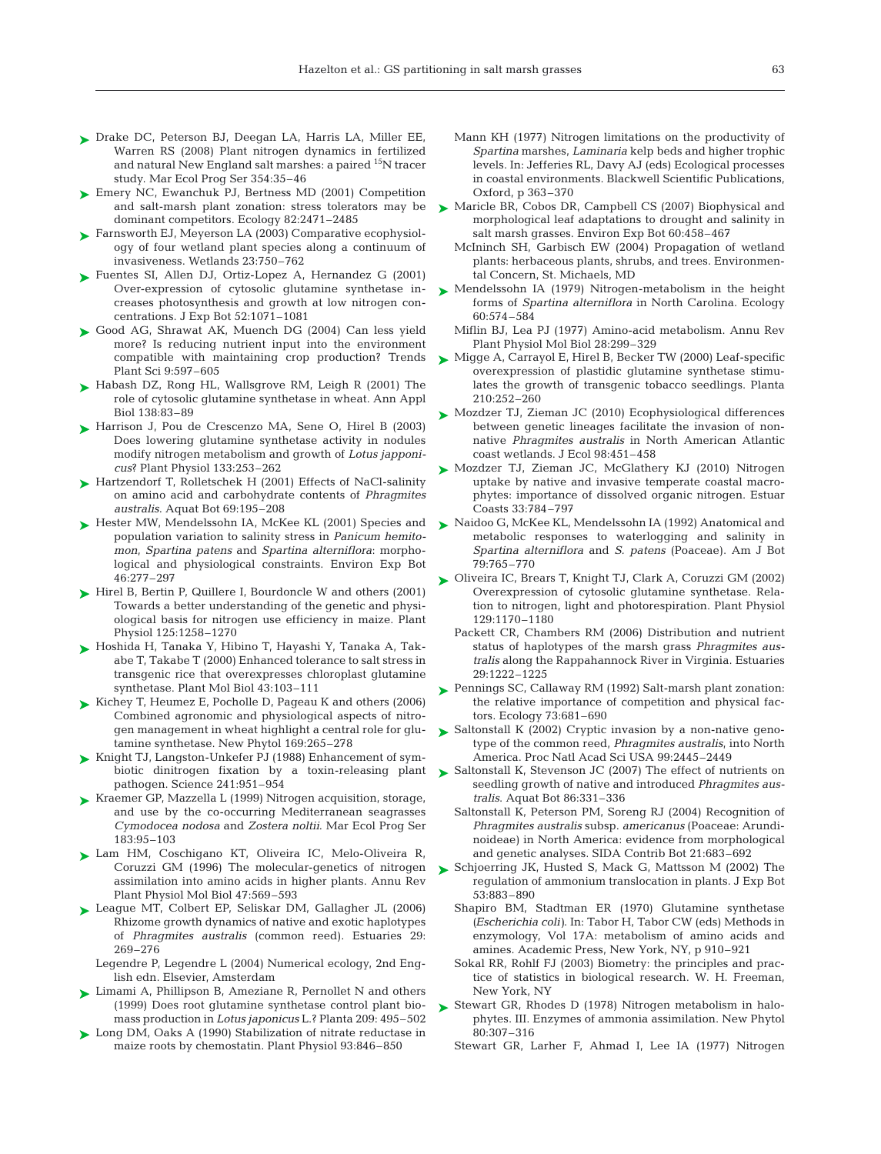- ► Drake DC, Peterson BJ, Deegan LA, Harris LA, Miller EE, Warren RS (2008) Plant nitrogen dynamics in fertilized and natural New England salt marshes: a paired <sup>15</sup>N tracer study. Mar Ecol Prog Ser 354:35–46
- ► Emery NC, Ewanchuk PJ, Bertness MD (2001) Competition and salt-marsh plant zonation: stress tolerators may be dominant competitors. Ecology 82:2471–2485
- ► Farnsworth EJ, Meyerson LA (2003) Comparative ecophysiology of four wetland plant species along a continuum of invasiveness. Wetlands 23:750–762
- ► Fuentes SI, Allen DJ, Ortiz-Lopez A, Hernandez G (2001) Over-expression of cytosolic glutamine synthetase increases photosynthesis and growth at low nitrogen concentrations. J Exp Bot 52:1071–1081
- ► Good AG, Shrawat AK, Muench DG (2004) Can less yield more? Is reducing nutrient input into the environment compatible with maintaining crop production? Trends Plant Sci 9:597–605
- ▶ Habash DZ, Rong HL, Wallsgrove RM, Leigh R (2001) The role of cytosolic glutamine synthetase in wheat. Ann Appl Biol 138:83–89
- ▶ Harrison J, Pou de Crescenzo MA, Sene O, Hirel B (2003) Does lowering glutamine synthetase activity in nodules modify nitrogen metabolism and growth of *Lotus japponicus*? Plant Physiol 133:253–262
- ► Hartzendorf T, Rolletschek H (2001) Effects of NaCl-salinity on amino acid and carbohydrate contents of *Phragmites australis*. Aquat Bot 69:195–208
- ► Hester MW, Mendelssohn IA, McKee KL (2001) Species and population variation to salinity stress in *Panicum hemitomon*, *Spartina patens* and *Spartina alterniflora*: morphological and physiological constraints. Environ Exp Bot 46:277–297
- ► Hirel B, Bertin P, Quillere I, Bourdoncle W and others (2001) Towards a better understanding of the genetic and physiological basis for nitrogen use efficiency in maize. Plant Physiol 125:1258–1270
- ► Hoshida H, Tanaka Y, Hibino T, Hayashi Y, Tanaka A, Takabe T, Takabe T (2000) Enhanced tolerance to salt stress in transgenic rice that overexpresses chloroplast glutamine synthetase. Plant Mol Biol 43:103–111
- ► Kichey T, Heumez E, Pocholle D, Pageau K and others (2006) Combined agronomic and physiological aspects of nitrogen management in wheat highlight a central role for glutamine synthetase. New Phytol 169:265–278
- Knight TJ, Langston-Unkefer PJ (1988) Enhancement of sym-➤ biotic dinitrogen fixation by a toxin-releasing plant pathogen. Science 241:951–954
- ► Kraemer GP, Mazzella L (1999) Nitrogen acquisition, storage, and use by the co-occurring Mediterranean seagrasses *Cymodocea nodosa* and *Zostera noltii*. Mar Ecol Prog Ser 183:95–103
- Lam HM, Coschigano KT, Oliveira IC, Melo-Oliveira R, ➤ Coruzzi GM (1996) The molecular-genetics of nitrogen assimilation into amino acids in higher plants. Annu Rev Plant Physiol Mol Biol 47:569–593
- League MT, Colbert EP, Seliskar DM, Gallagher JL (2006) ➤ Rhizome growth dynamics of native and exotic haplotypes of *Phragmites australis* (common reed). Estuaries 29: 269–276
	- Legendre P, Legendre L (2004) Numerical ecology, 2nd English edn. Elsevier, Amsterdam
- ► Limami A, Phillipson B, Ameziane R, Pernollet N and others (1999) Does root glutamine synthetase control plant biomass production in *Lotus japonicus* L.? Planta 209: 495–502
- ► Long DM, Oaks A (1990) Stabilization of nitrate reductase in maize roots by chemostatin. Plant Physiol 93:846–850
- Mann KH (1977) Nitrogen limitations on the productivity of *Spartina* marshes, *Laminaria* kelp beds and higher trophic levels. In: Jefferies RL, Davy AJ (eds) Ecological processes in coastal environments. Blackwell Scientific Publications, Oxford, p 363–370
- ► Maricle BR, Cobos DR, Campbell CS (2007) Biophysical and morphological leaf adaptations to drought and salinity in salt marsh grasses. Environ Exp Bot 60:458–467
	- McIninch SH, Garbisch EW (2004) Propagation of wetland plants: herbaceous plants, shrubs, and trees. Environmental Concern, St. Michaels, MD
- ► Mendelssohn IA (1979) Nitrogen-metabolism in the height forms of *Spartina alterniflora* in North Carolina. Ecology 60:574–584
	- Miflin BJ, Lea PJ (1977) Amino-acid metabolism. Annu Rev Plant Physiol Mol Biol 28:299–329
- ► Migge A, Carrayol E, Hirel B, Becker TW (2000) Leaf-specific overexpression of plastidic glutamine synthetase stimulates the growth of transgenic tobacco seedlings. Planta 210:252–260
- ► Mozdzer TJ, Zieman JC (2010) Ecophysiological differences between genetic lineages facilitate the invasion of nonnative *Phragmites australis* in North American Atlantic coast wetlands. J Ecol 98:451–458
- ► Mozdzer TJ, Zieman JC, McGlathery KJ (2010) Nitrogen uptake by native and invasive temperate coastal macrophytes: importance of dissolved organic nitrogen. Estuar Coasts 33:784–797
- ► Naidoo G, McKee KL, Mendelssohn IA (1992) Anatomical and metabolic responses to waterlogging and salinity in *Spartina alterniflora* and *S. patens* (Poaceae). Am J Bot 79:765–770
- Oliveira IC, Brears T, Knight TJ, Clark A, Coruzzi GM (2002) ➤ Overexpression of cytosolic glutamine synthetase. Relation to nitrogen, light and photorespiration. Plant Physiol 129:1170–1180
	- Packett CR, Chambers RM (2006) Distribution and nutrient status of haplotypes of the marsh grass *Phragmites australis* along the Rappahannock River in Virginia. Estuaries 29:1222–1225
- ► Pennings SC, Callaway RM (1992) Salt-marsh plant zonation: the relative importance of competition and physical factors. Ecology 73:681–690
- ► Saltonstall K (2002) Cryptic invasion by a non-native genotype of the common reed, *Phragmites australis*, into North America. Proc Natl Acad Sci USA 99:2445–2449
- ► Saltonstall K, Stevenson JC (2007) The effect of nutrients on seedling growth of native and introduced *Phragmites australis*. Aquat Bot 86:331–336
	- Saltonstall K, Peterson PM, Soreng RJ (2004) Recognition of *Phragmites australis* subsp. *americanus* (Poaceae: Arundinoideae) in North America: evidence from morphological and genetic analyses. SIDA Contrib Bot 21:683–692
- ▶ Schjoerring JK, Husted S, Mack G, Mattsson M (2002) The regulation of ammonium translocation in plants. J Exp Bot 53:883–890
	- Shapiro BM, Stadtman ER (1970) Glutamine synthetase *(Escherichia coli)*. In: Tabor H, Tabor CW (eds) Methods in enzymology, Vol 17A: metabolism of amino acids and amines. Academic Press, New York, NY, p 910–921
	- Sokal RR, Rohlf FJ (2003) Biometry: the principles and practice of statistics in biological research. W. H. Freeman, New York, NY
- ▶ Stewart GR, Rhodes D (1978) Nitrogen metabolism in halophytes. III. Enzymes of ammonia assimilation. New Phytol 80:307–316
	- Stewart GR, Larher F, Ahmad I, Lee IA (1977) Nitrogen